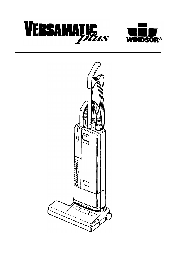



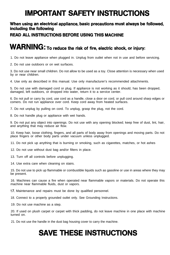# **IMPORTANT SAFETY INSTRUCTIONS**

### **When using an electrical appliance, basic precautions must always be followed, including the following**

### **READ ALL INSTRUCTIONS BEFORE USING THIS MACHINE**

## **WARNING: To reduce the risk of fire, electric shock, or injury:**

1. Do not leave appliance when plugged in. Unplug from outlet when not in use and before servicing.

2. Do not use outdoors or on wet surfaces.

3. Do not use near small children. Do not allow to be used as a toy. Close attention is necessary when used by or near children.

4. Use only as described in this manual. Use only manufacturer's recommended attachments.

5. Do not use with damaged cord or plug. If appliance is not working as it should, has been dropped, damaged, left outdoors, or dropped into water, return it to a service center.

6. Do not pull or carry by cord, use cord as a handle, close a door on cord, or pull cord around sharp edges or comers. Do not run appliance over cord. Keep cord away from heated surfaces.

7. Do not unplug by pulling on cord. To unplug, grasp the plug, not the cord.

8. Do not handle plug or appliance with wet hands.

9. Do not put any object into openings. Do not use with any opening blocked; keep free of dust, lint, hair, and anything that may reduce air flow.

10. Keep hair, loose clothing, fingers, and all parts of body away from openings and moving parts. Do not place fingers or other body parts under vacuum unless unplugged.

11. Do not pick up anything that is burning or smoking, such as cigarettes, matches, or hot ashes

12. Do not use without dust bag and/or filters in place.

13. Turn off all controls before unplugging.

14. Use extra care when cleaning on stairs.

15. Do not use to pick up flammable or combustible liquids such as gasoline or use in areas where they may be present.

16. Machines can cause a fire when operated near flammable vapors or materials. Do not operate this machine near flammable fluids, dust or vapors.

17. Maintenance and repairs must be done by qualified personnel.

18. Connect to a properly grounded outlet only. See Grounding Instructions.

19. Do not use machine as a step.

20. If used on plush carpet or carpet with thick padding, do not leave machine in one place with machine turned on.

21. Do not use the handle in the dust bag housing cover to carry the machine.

# **SAVE THESE INSTRUCTIONS**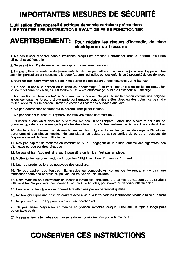# **IMPORTANTES MESURES DE SÉCURITÉ**

### L'utilisation d'un appareil électrique demande certaines précautions LIRE TOUTES LES INSTRUCTIONS AVANT DE FAIRE FONCTIONNER

### AVERTISSEMENT: Pour réduire les risques d'incendie, de choc électrique ou de blessure:

1. Ne pas laisser l'appareil sans surveillance lorsqu'il est branché. Débrancher lorsque l'appareil n'est pas utilisé et avant l'entretien.

2. Ne pas utiliser à lextérieur et ne pas aspirer de matières humides.

3. Ne pas utiliser à proximité de jeunes enfants. Ne pas permettre aux enfants de jouer avec l'appareil. Une attention particulière est nécessaire lorsque l'appareil est utilisé par des enfants ou à proximité de ces derniers.

4. N'utiliser que conformément à cette notice avec les accessoires recommandés par le fabricant.

5. Ne pas utiliser si le cordon ou la fiche est endommagé. Retourner l'appareil à un atelier de réparation s'il ne fonctionne pas bien, s'il est tombé ou s'il a été endommagé, oublié à l'extérieur ou immergé.

6. Ne pas tirer soulever ou traîner l'appareil par le cordon. Ne pas utiliser le cordon comme une poignée, le coincer dans l'embrasure d'une porte ou l'appuyer contre des arêtes vives ou des coins. Ne pas faire rouler l'appareil sur le cordon. Garder le cordon à l'écart des surfaces chaudes.

7. Ne pas débrancher en tirant sur le cordon. Tirer plutôt la fiche.

8. Ne pas toucher la fiche ou l'appareil lorsque vos mains sont humides.

9. N'insérer aucun objet dans les ouvertures. Ne pas utiliser l'appareil lorsqu'une ouverture est bloquée. S'assurer que de la poussière, de la peluche, des cheveux ou d'autres matières ne réduisent pas le débit d'air.

10. Maintenir les cheveux, les vêtements amples, les doigts et toutes les parties du corps à l'écart des ouvertures et des pièces mobiles. Ne pas placer les doigts ou autres parties du corps en-dessous de l'aspirateur avant de l'avoir débranché.

11. Nes pas aspirer de matières en combustion ou qui dégagent de la fumée, comme des cigarettes, des allumettes ou des cendres chaudes.

12. Ne pas utiliser l'appareil si le sac à poussière ou le filtre n'est pas en place.

13. Mettre toutes les commandes à la position ARRÊT avant de débrancher l'appareil.

14. User de prudence lors du nettoyage des escaliers.

15. Ne pas aspirer des liquides inflammables ou combustibles, comme de l'essence, et ne pas faire fonctionner dans des endroits où peuvent se trouver de tels liquides.

16. Cette machine peut provoquer un incendie lorsqu'elle fonctionne à proximité de vapeurs ou de produits inflammables. Ne pas faire fonctionner à proximité de liquides, poussières ou vapeurs inflammables.

17. L'entretien et les réparations doivent être effectués par un personnel qualifie.

18. Ne brancher qu'à une prise de courant avec mise à la terre. Voir les instructions visant la mise à la terre

19. Ne pas se servir de l'appareil comme d'un marchepied.

20. Ne pas laisser l'aspirateur en marche en position immobile lorsque utilisé sur un tapis à longs poils ou un tapis épais.

21. Ne pas utiliser la fermeture du couvercle du sac poussière pour porter la machine.

# **CONSERVER CES INSTRUCTIONS**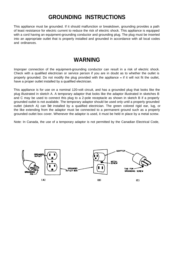## **GROUNDING INSTRUCTIONS**

This appliance must be grounded. If it should malfunction or breakdown, grounding provides a path of least resistance for electric current to reduce the risk of electric shock. This appliance is equipped with a cord having an equipment-grounding conductor and grounding plug. The plug must be inserted into an appropriate outlet that is properly installed and grounded in accordance with all local codes and ordinances.

### **WARNING**

Improper connection of the equipment-grounding conductor can result in a risk of electric shock. Check with a qualified electrician or service person if you are in doubt as to whether the outlet is properly grounded. Do not modify the plug provided with the appliance - if it will not fit the outlet, have a proper outlet installed by a qualified electrician.

This appliance is for use on a nominal 120-volt circuit, and has a grounded plug that looks like the plug illustrated in sketch A. A temporary adaptor that looks like the adaptor illustrated in sketches B and C may be used to connect this plug to a 2-pole receptacle as shown in sketch B if a properly grounded outlet is not available. The temporary adaptor should be used only until a properly grounded outlet (sketch A) can be installed by a qualified electrician. The green colored rigid ear, lug, or the like extending from the adaptor must be connected to a permanent ground such as a properly grounded outlet box cover. Whenever the adaptor is used, it must be held in place by a metal screw.

Note: In Canada, the use of a temporary adaptor is not permitted by the Canadian Electrical Code,

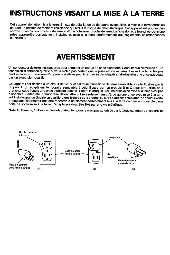# **INSTRUCTIONS VISANT LA MISE À LA TERRE**

Cet appareil doit être mis à la terre. En cas de défaillance ou de panne éventuelles, la mise à la terre fournit au courant un chemin de moindre résistance qui réduit le risque de choc électrique. Cet appareil est pourvu d'un cordon muni d'un conducteur de terre et d'une fiche avec broche de terre. La fiche doit être branchée-dans une prise appropriée correctement installée et mise à la terre conformément aux règlements et ordonnances municipaux.

## **AVERTISSEMENT**

Un conducteur de terre mal raccordé peut entraîner un risque de choc électrique. Consulter un électricien ou un technicien d'entretien qualifié si vous n'êtes pas certain que la prise est correctement mise à la terre. Ne pas modifier la fiche fournie avec l'appareil - si elle ne peut être insérée dans la prise, faire installer une prise adéquate par un électricien qualifié.

Cet appareil est destiné à un circuit de 120 V et est muni d'une fiche de terre semblable à celle illustrée par le cropuis A. Un adaptateur temporaire semblable à celui illustré par les croquis B et C peut être utilisé pour brancher cette fiche à une prise bipolaire comme l'illustre le croquis B si une prise avec mise à la terre n'est pas disponible. L'adaptateur temporaire devrait être utilisé seulement jusqu'à ce qu'une prise avec mise à la terre soit installée par un électricien qualifié. L'oreille rigide ou le crochet ou autre dispositif semblable, de couleur verte, prologeant l'adaptateur doit être raccordé à un élément correctement mis à la terre comme le couvercle d'une boîte de sortie mise à la terre. L'adaptateur dout être fixé par une vis métallique.

Note. Au Canada, l'utilisation d'un adaptateur temporaire n'est pas autorisée par le Code canadien de l'electricite.

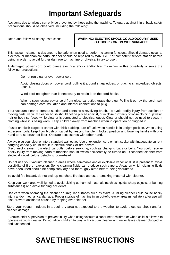## **Important Safeguards**

Accidents due to misuse can only be prevented by those using the machine. To guard against injury, basic safety precautions should be observed, including the following:

#### Read and follow all safety instructions. **WARNING: ELECTRIC SHOCK COULD OCCUR IF USED OUTDOORS OR ON WET SURFACES**

This vacuum cleaner is designed to be safe when used to perform cleaning functions. Should damage occur to electrical or mechanical parts, cleaner should be repaired by WINDSOR or competent service station before using in order to avoid further damage to machine or physical injury to user.

A damaged power cord could cause electrical shock and/or fire. To minimize this possibility observe the following precautions:

Do not run cleaner over power cord.

Avoid closing doors on power cord, pulling it around sharp edges, or placing sharp-edged objects upon it.

Wind cord no tighter than is necessary to retain it on the cord hooks.

When disconnecting power cord from electrical outlet, grasp the plug. Pulling it out by the cord itself can damage cord insulation and internal connections to plug.

Your vacuum cleaner creates suction and contains a revolving brush. To avoid bodily injury from suction or moving parts, vacuum cleaner brush should not be placed against, or in close proximity of loose clothing, jewelry, hair or body surfaces while cleaner is connected to electrical outlet. Cleaner should not be used to vacuum clothing while it is being worn. Keep children away from machine when in operation or plugged in.

If used on plush carpet or carpet with thick padding, turn off unit when handle is in upright position. When using accessory tools, keep floor brush off carpet by keeping handle in locked position and lowering handle with one hand to raise brush off floor. Operate accessories with other hand.

Always plug your cleaner into a standard wall outlet. Use of extension cord or light socket with inadequate currentcarrying capacity could result in electric shock or fire hazard.

Disconnect cleaner from electrical outlet before servicing, such as changing bags or belts. You could receive bodily injury from moving parts of machine should switch accidentally be turned on. Disconnect cleaner from electrical outlet before detaching powerhead.

Do not use your vacuum cleaner in areas where flammable and/or explosive vapor or dust is present to avoid possibility of fire or explosion. Some cleaning fluids can produce such vapors. Areas on which cleaning fluids have been used should be completely dry and thoroughly aired before being vacuumed.

To avoid fire hazard, do not pick up matches, fireplace ashes, or smoking material with cleaner.

Keep your work area well lighted to avoid picking up harmful materials (such as liquids, sharp objects, or burning substances) and avoid tripping accidents.

Use care when operating the cleaner on irregular surfaces such as stairs. A falling cleaner could cause bodily injury and/or mechanical damage. Proper storage of machine in an out-of-the-way area immediately after use will also prevent accidents caused by tripping over cleaner.

Store your vacuum indoors in a cool, dry area not exposed to the weather to avoid electrical shock and/or cleaner damage.

Exercise strict supervision to prevent injury when using vacuum cleaner near children or when child is allowed to operate vacuum cleaner. Do not allow children to play with vacuum cleaner and never leave cleaner plugged in and unattended.

## **SAVE THESE INSTRUCTIONS**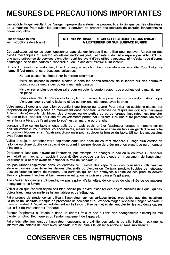# **MESURES DE PRECAUTIONS IMPORTANTES**

Les accidents qui résultant de l'usage impropre du matériel ne peuvent être évités que par les utilisateurs de la machine. Pour éviter les accidents, il convient de prendre des mesures de sécurité fondamentales, parmi lesquelles:

Lire et suivre toutes les instructions de sécurité

### ATTENTION: RISQUE DE CHOC ELECTRIQUE EN CAS D'USAGE À L'EXTERIEUR OU SUR SURFACE HUMIDE

Cet aspirateur est concu pour fonctionner sans danger lorsque il est utilisé pour nettover. Au cas où des pièces mécaniques ou électriques étaient endommagèes, l'aspirateur doit être réparé par WINDSOR ou une autre entreprise de services d'entretien qualifiée avant d'être utilisé à nouveau, afin d'éviter que d'autres dommages ne soinen causés à l'appareil ou qu'un accident n'arrive à l'utilisateur.

Un cordon électrique endommagé peut provoquer un choc électrique et/ou un incendie. Pour limiter ce risque, il faut prendre les précautions suivantes:

Ne pas passer l'aspirateur sur le cordon électrique.

Eviter de coincer le cordon électrique dans les portes fermées, de le tendre sur des pourtours pointus ou de mettre des objets tranchants dessus.

Ne pas serrer plus que nêcessaire pour enrouler le cordon autour des crochets qui le maintiennent en place.

Pour débrancher le cordon électrique, tirer au niveau de la prise. Tirer sur le cordon même risque d'endommager sa gaine isolante et les connexions intérieures avec la prise.

Votre appareil crée une aspiration et contient une brosse qui tourne. Pour éviter les accidents causés par l'aspiration ou par des pièces en mouvement dans l'appareil, la brosse de l'aspirateur doit être maintenue à l'écart de vêtements, de bijoux, des cheveux ou de parties du corps lorsque l'aspirateur est branche. Ne pas utiliser l'appareil pour aspirer les vêtements portés par l'utilisateur ou une autre personne. Maintenir les enfants à l'écart de l'aspirateur lorsqu'il est en marche ou branche.

Lorsque utilisé sur un tapis à longs poils ou un tapis épais, arrêter l'aspirateur lorsque le manche est en position verticale. Pour utiliser les accessoires, maintenir la brosse écartée du tapis en gardant le manche en position bloquée et en l'abaissant d'uno main pour soulever la brosse du tapis. Utiliser les accessoires avec l'autre main.

Vailler à toujours brancher votre aspirateur dans une prise de courant standard. L'usage d'un cordon de rallonge ou d'une douille de capacité de courant imporpre risque de créer un choc électrique ou un danger d'incendie.

Débrancher l'aspirateur avant de l'entretenir, par exemple, en changer le sac ou la courroie. Si l'appareil se mettait en marche, un accident pourrait être provoqué par les pièces en mouvement de l'aspirateur. Débrancher le cordon avant de détacher la tête de l'aspirateur.

Ne pas utiliser l'aspirateur dans les endroits où il existe des vapeurs ou des poussières inflammables et/ou explosives pour éviter les risques d'incendie ou d'explosion. Certains produits liquides de nettoyage peuvent créer ce genre de vapeurs. Les surfaces qui ont été nettoyées à l'aide de ces produits doivent être complètement sèches et bien aérées avant qu'on ne puisse y passer l'aspirateur.

Afin d'eviter les dangers d'incendie, ne pas aspirer d'allumettes, de cendres de cheminée ou de matières dégageant de la fumée.

Veiller à ce que l'endroit aspiré soit bien éclairé pour éviter d'aspirer des objets nuisibles (tels que liquides, objets tranchants ou matières inflammables) et de trébucher.

Faire preuve de prudence en utilisant l'aspirateur sur les surfaces irrégulières telles que des escaliers. La chute de l'aspirateur risque de provoquer un accident et/ou d'endommager l'appareil. Ranger l'aspirateur dans un endroit à l'ecart immédiatement après l'avoir utilisé permet également d'éviter les accidents causés par le fait de trébucher sur l'appareil.

Ranger l'aspirateur à l'intérieur, dans un endroit frais et sec à l'abri des changements climatiques afin d'éviter un choc électrique et/ou l'endommagement de l'appareil.

Faire trés attention lorsque l'aspirateur fonctionne à proximité des enfants ou s'ils l'utilisent eux-même. Interdire aux enfants de jouer avec l'aspirateur et ne jamais le laisser branché et sans surveillance.

## **CONSERVER CES INSTRUCTIONS**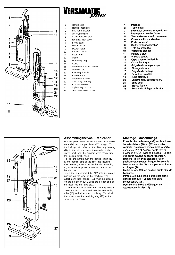



| 1              | Handle grip            |
|----------------|------------------------|
| 2              | Handle assembly        |
| 3              | Bag full indicator     |
| 4              | On / Off switch        |
| 5              | Cover release latch    |
| 6              | Exhaust filter cover   |
| $\overline{7}$ | Front cover            |
| 8              | Motor cover            |
| 9              | Power head             |
| 10             | Locking catch          |
| 11             | Foot pedal             |
| 12             | Hose                   |
| 13             | Retaining ring         |
| 14             | Cable                  |
| 15             | Attachment tube handle |
| 16             | Handle catch           |
| 17             | Carrying handle        |
| 18             | Cable hook             |
| 19             | Attachment tube        |
| 20             | Dust bag housing       |
| 21             | Crevice nozzle         |
| 22             | Upholstery nozzle      |
| 23             | Pile adjustment knob   |

| 1   | Poianée                          |
|-----|----------------------------------|
| 2   | Tube métal                       |
| 3   | Indicateur de remplissage du sac |
| 4   | Interrupteur marche / arrêt      |
| 5   | Verrou d'ouverture du couvercie  |
| 6   | Couvercle filtre sortie d'air    |
| 7   | Porte porte sac                  |
| 8   | Carter moteur aspiration         |
| 9   | Tête de brossage                 |
| 10  | Verrou de blocage                |
| 11  | Pédale à pied                    |
| 12. | Flexible souple                  |
| 13  | Clips d'accroche flexible        |
| 14  | Câble électrique                 |
| 15  | Poignée du tube plastique        |
| 16  | Blocage du tube                  |
| 17  | Poignée de portage               |
| 18  | Enrouleur de câble               |
| 19  | Tube plastique                   |
| 20  | Logement du sac poussière        |
| 21  | <b>Buse sifiet</b>               |
| 22  | <b>Brosse fauteuil</b>           |

23 Bouton de réglage de la tête



#### **Assembling the vacuum cleaner**

Put the power head (9) on the floor with swivel neck (26) and support lever (27) upright. Turn the locking catch (10) on the filter bag housing (20) to the left and place it carefully on the swivel neck and the support lever. Then turn the locking catch back.

To lock the handle turn the handle catch (16) at the handle joint of the filter bag housing (20) forward, then slide the handle assembly (2) in as far as possible and lock it with the handle catch.

Insert the attachment tube (19) into its storage position on the side of the machine. The attachment tube handle (15) must be placed on the projection (24). Slide the proper end of the hose into the tube (19).

To connect the hose with the filter bag housing insert the black hose end into the connecting tube (25) and slide it in completely. To unlock the hose press the retaining ring (13) at the projecting sections.

#### Montage - Assemblage

Poser la tête de brossage (9) sur le sol avec les articulations (26) et (27) en position verticale. Présenter verticalement la partie aspiration (20) et l'insérer sur la tête de brossage (9). Le levier de blocage (10) doit être sur la gauche pendant l'operation. Ramener le levier de blocage (10) en position verticale pour bloquer l'ensemble. Monter le manche (2) sur la partie aspirante et bloquer (16). Mettre le tube (19) en position sur le côté de

l'appareil.

Introduire le tube flexible (12) côté blanc dans le platique (19) côte noir dans l'embouchure (25).

Pour sortir le flexible, débloquer en appuyant sur le clip (13).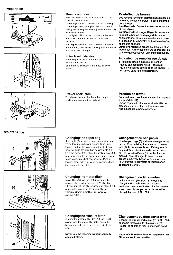#### **Preparation**







#### **Brush controller**

The electronic brush controller monitors the operation of the brush.

**Green light:** Brush correctly set and running. **Green light and red light:** Adjust the brush setting by turning the Pile adjustment knob (23) to a lower number.

If the lights still show at position number one the brush strip is worn out and must be replaced.

**Red light:** The brush has become blocked and is not turning. Switch off. Unplug from the outlet and clear the blockage.

#### **Filter level indicator**

If warning light (3) comes on check:

a) Is the dust bag full?

b) Is there a blockage in the hose or power head ?

#### Contrôleur de brosse

Les voyants lumineux èlectroniques placés su la tête de brosse contrôlent le positionnement de la brosse.

Lumière verte: Brosse tournant correctement et bien réglée.

Lumière verte et rouge: Régler la brosse en tournant le bouton de réglage (23) vers le chiffre inférieur. Si la lumière est encore rouge à la position 1, la barrette de brosse est us'ee et il faut la changer.

Lumi' ère rouge La brosse est bloquée et ne tourne pas. Arrêter les moteurs et procéder au contrôle qui est souvent un simple nettoyage.

#### Indicateur de remplissage du sac

- Si la lampe tension s'allume (3) vérifier: - que le sac poussière ne soit pas plein
- qu'il n'y a rien de coincé dans les tuyaux (19 et 12) ou dans la tête d'aspiration.

#### **Swivel neck latch**

To release the machine from the upright position depress the foot pedal (11).

#### **Position de travail**

Pour mettre en position et en marche, appuyer sur la pédale (11). Quand l'appareil est sous tension la tête de brossage s'arrête et se met en route avec l'inclinaison de la partie aspirante.

### **Maintenance**







#### **Changing the paper bag**

If red light (3) shows, change paper filter bag. To do this first pull cover release latch (5) forward and lift the cover from the dust bag housing. Slide the dust bag sealing plate (28) from the holder (29). Slide the sealing plate (28) of a new bag into the holder and push firmly in. Insert cover into dust bag housing. Push it forward then lock it in place by pushing down the cover release latch.

#### **Changing the motor filter**

Motor filter (30, Art. no. 1825) needs to be replaced latest after the use of 20 filter bags. Lift the front of the filter slightly and slide it out of its slots. Instead of the motor filter a 'Hospital-Grade'-microfilter is available (Art. no. 1875).

#### Changement du sac papier

Si la lampe rouge (3) s'allume, changer le sac papier. Pour ce faire, tirer le verrou d'ouverture (5), la porte avec le sac. Faire glisser la bague (28) en plastique verte du sac de son rail (29) vers l'extérieur (pincer les 2 extremites du sac). Changer le sac en faisant glisser la nouvelle bague verte au fond du rail.Refermer le couvercle et verrouiller en poussant le verrou.

#### Changement du filtre moteur

Le filtre moteur (30) (réf: 1825) doit être changé après l'utilisation de 20 sacs maximum. pour une filtration plus importante, vous pouvez le remplacer par le microfiltre « hospital grade » (réf: 1875).

### **Changing the exhaust filter**

Change the exhaust filter (31, Art. no. 1878) always with the motor filter (30). Press the button and slide the exhaust cover (6) to the side.

**Never use the machine without correctly attached filters.**

#### Changement du filtre sortie d'air

Changer le filtre de sortie d'air (31) (réf: 1878) en même temps que le filtre moteur (30). Presser le bouton et tirer le couvercle du filtre  $(6).$ 

Ne jamais faire fonctionner l'appareil si les filtres ne sont pas montés.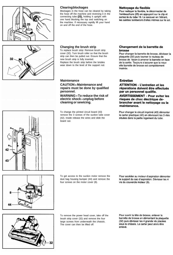



#### **Clearing blockages**

Blockages in the hose can be cleared by taking the hose off the machine and reversing it in the connecting tube (25), holding it upright with one hand blocking the top and switching on the machine. If necessary rapidly lift your hand on and off the end of the hose.

#### Nettoyage du flexible

Pour nettoyer le flexible, le déconnecter de l'embouchure (25) en appuyant sur le clip et sortez-le du tube 19. Le secouer en l'étirant. les salétes tomberont d'elles mêmes sur le sol.

#### **Changing the brush strip**

To replace brush strip: Remove brush strip cover (32). Turn brush roller so that the brush strip can then be pulled out. Ensure that the new brush strip is fully inserted. Replace the brush strip before the bristles wear down to the level of the support rod.

#### **Maintenance**

**CAUTION - Maintenance and repairs must be done by qualified personnel.**

**WARNING - To reduce the risk of electric shock - unplug before cleaning or sewicing.**

To change the printed circuit board (43) remove the 3 screws of the suction tube cover (42). Inside release the wires and slide the board out.

#### Changement de la barrette de brosse

Pour changer la barrette de brosse, dévisser la plaquette (32) puis tourner le rouleau de brosse de facon à amener la barrette en face de la sortie. Toujours s'assurer que la nouv elle barrette de brosse est complètement insérée.

#### **Entretien**

**ATTENTION - L'entretien et les** réparations doivent être effectués par un personnel qualifie.

**AVERTISSEMENT - Pour eviter les** risques de choc électrique debrancher avant le nettoyage ou la maintenance.

Pour changer le circuit imprimé (43) démonter le carter plastique (42) en dévissant les 3 vbis situées dans la partie logement du tube.



To get access to the suction motor remove the dust bag housing bumper (44) and remove the four screws on the motor cover (8).

Pour accéder au moteur d'aspiration démonter le support du sac d'aspiration. Dévisser les 4 vis du couvercle moteur (8).



To remove the power head cover, take off the brush strip cover (32) and remove the four large screws from underneath the chassis. The cover can then be lifted off.

Pour ouvrir la tête de brosse, enlever la barrette de brosse en démontant la plaquette (32) puis dévisser les 4 grande vis placées sous le châssis. Le carter peut alors être enlevé.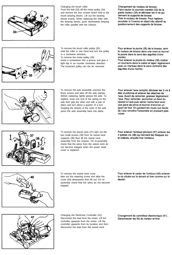

Changing the brush roller:

.

Push the belt (33) off the motor pulley (34) and remove the four screws which hold in the brush bearing blocks. Lift out the bearing blocks evenly. When replacing the roller with the bearing blocks, push downwards keeping the roller parallel with the chassis.

Changement du rouleau de brosse: Faire sauter la courroie crantée (33) de la partie moteur (34) et dévisser les 4 vis qui tiennent le supports de brosse. Tirer le rouleau de brosse. Pour replacer, procéder à l'inverse en étant très attentif au positionnement des supports de brosse.

To remove the brush roller pulley (35) hold the roller in one hand and turn the pulley in a clockwise direction. To remove the motor pulley (36)

insert a screwdriver into a groove and give a light tap in an counter clockwise direction. The loosened pulley can the be removed.

Pour enlever la poulie (35) de la brosse, tenir le rouleau de brosse dans une main et tourner la poulie dans le sens des aiguilles d'une montre.

Pour enlever la poulie du moteur (36) insérer un tournevis dans le sabot et taper légérement avec un marteau dans le sens contraire des aiguilles d'une montre.

To remove the axle assembly unscrew the three screws and take off the axle clamps. Before replacing, lightly grease the axle. To replace, hook one end of the spring on the axle then grip the other end with a pair of pliers and turn about a quarter of a turn. Keeping the wheels at the ends of the axle press the axle assembly back into place.

Pour enlever l'axe complet, dévisser les 3 vis à tête cruciforme et enlever les attaches de l'axe. Avant de remonter, graisser légérement l'axe. Pour remonter, accrocher un bout du ressort à l'axe puis serrer l'autre bout avec une paire de pince et tourner d'environ un quart de tour. En gardant les roues aux bouts de l'axe remettre l'ensemble en pressant puis visser

Pour enlever l'embout pivotant (37) enlever les 2 petites vis (38) qui tiennent les flasques sur le châssis, ensuite tirer l'embout.



To remove the swivel neck (37) take out the two small screws (38) from he swivel neck supports (39) then lift the swivel neck assembly from the chassis. On re-assembly check that the wires from the swivel neck do not become trapped when the power head cover is replaced.

> Pour enlever le carter de l'embout (40) enlever la vis située sur le devant et tirer comme sur le

dessin.



To remove the swivel neck cover take out the retaining screw and slide the cover (40) downwards then lift out. On reassembly check that the wires do not become trapped.



Changing the Electronic Controller (41): Disconnect the lead from the motor. Lift the controller upwards from the motor. Lift the controller upwards from its location and then disconnect the lead from the swivel neck.

Changement du contrôleur électronique (41)... Déconnecter les fils du moteur et tirer.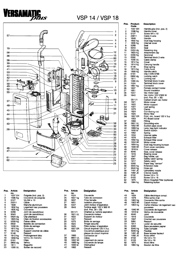

### VSP 14/VSP 18



| Pos. | Article<br>no. | <b>Designation</b>            | Pos. | <b>Article</b><br>no. | <b>Designation</b>            |
|------|----------------|-------------------------------|------|-----------------------|-------------------------------|
| 1    | 1037 EH        | Poignée (incl. pos. 2)        | 24   | 1524                  | Couvercle                     |
| 2    | 1596 ha        | Couvercle de poignée          | 25   | 1807 ha               | Tube de connexion             |
| 3    | 0127           | Vis M4 $\times$ 10            | 26   | 1837                  | Prise femelle                 |
| 4    | 23011          | Câble                         | 27   | 1851                  | <b>Isolation phonique</b>     |
| 5    | 1848           | Manche aluminium              | 28   | 1047                  | Joint moteur d'aspiration     |
| 6    | 1832 hg        | Logement sac poussiere        | 29   | 1843                  | Turbine aspir. 120 V 900 W    |
| 7    | 1835 ha        | Couvercle                     |      |                       | (incl. Pos. $29 + 30$ )       |
| 8    | 5289           | Joint de caoutchouc           |      | 0511/1                | Charbon p. turbine aspiration |
| 9    | 5043           | Joint de caoutchouc           | 30   | 1821 UL               | Couvercle moteur              |
| 10   | 5424 da        | Clip plastique                | 31   | 1822                  | Support de moteur             |
| 11   | 1823 ha        | Clips de fixation accessoires | 32   | 1027                  | Ressort                       |
| 12   | 5359 hg        | Passe câble                   | 33   | 1073                  | Bride de serrage              |
| 13   | 0502           | Barette de connection         | 34   | 1824                  | Tringle securite              |
| 14   | 1030 UL        | Bride de serrage              | 35   | 1825                  | Filtre moteur d'aspiration    |
| 15   | 1812 ha        | Couvercie                     | 36   | 1857 ER               | Circuit imprimé 120 V 3-p.    |
| 16   | 1814 ha        | Support crochet de câble      |      | 1903                  | Couverture plastique pour     |
| 17   | 5146           | Ressort                       |      |                       | plaque de circuit imprimé     |
| 18   | 1813 hg        | Prolongement bloc             | 37   | 1860                  | Connexion air                 |
| 19   | 1859 hg        | Verrou de manche              | 38   | 0851 UL               | Câble                         |
| 20   | 0161           | Clips                         | 39   | 1852 WI               | Logement de canne             |
| 21   | 0850 dg        | Verrou                        | 40   | 1869 ha               | Couvercle de lampe            |
| 22   | 1811           | <b>Baguette</b>               | 41   | 1830 bl               | Interrupteur                  |
| 23   | 1265 UL        | Boitier de raccord            | 42   | 1862                  | Ressort                       |

| Pos.     | Product-<br>Code   | <b>Description</b>                                   |
|----------|--------------------|------------------------------------------------------|
| 1        | 1037 EH            | Handle grip (incl. pos. 2)                           |
| 2        | 1596 hg            | Handle cover                                         |
| 3        | 0127               | Screw M4 x 10                                        |
| 4<br>5   | 23011<br>1848      | Cable 3-wire<br>Handle                               |
| 6        | 1832 hg            | Dust bag housing                                     |
| 7        | 1835 hg            | Internal cover                                       |
| 8        | 5289               | Seal                                                 |
| 9        | 5043               | Seal                                                 |
| 10<br>11 | 5424 dg<br>1823 hg | Retaining ring<br>Attachment clip                    |
| 12       | 5359 hg            | Grommet                                              |
| 13       | 0502               | Terminal block 2-wire                                |
| 14       | 1030 UL            | Cable clamp                                          |
| 15       | 1812 hg            | Cover                                                |
| 16<br>17 | 1814 hg<br>5146    | Carrying handle<br>Stop spring                       |
| 18       | 1813 hg            | Cable hook                                           |
| 19       | 1859 hg            | Handle catch                                         |
| 20       | 0161               | Clip 4 DIN 6799                                      |
| 21       | 0850 dg            | Locking catch                                        |
| 22       | 1811<br>1265 UL    | Locking rod<br>Terminal block 3-wire                 |
| 23<br>24 | 1524               | Terminal block cover                                 |
| 25       | 1807 hg            | Connector                                            |
| 26       | 1837               | Female contact holder                                |
| 27       | 1851               | Sound insulation                                     |
| 28       | 1047               | Vac motor seal                                       |
| 29       | 1843               | Vac motor 120 V/900 W<br>(incl. Pos. 29 + 30)        |
|          | 0511/1             | Carbon brush vac motor                               |
| 30       | 1821               | Motor cover                                          |
| 31       | 1822               | Motor support                                        |
| 32       | 1027               | Leaf spring                                          |
| 33<br>34 | 1073<br>1824       | Clamp<br>Connecting rod                              |
| 35       | 1825               | Motor filter                                         |
| 36       | 1857 ER            | Print. circ. board 120 V 3-p                         |
|          | 1903               | PC-Board cover                                       |
| 37       | 1860               | Fitting                                              |
| 38<br>39 | 0851 UL<br>1852 WI | Grounding-wire<br>Suction pipe cover                 |
| 40       | 1869 hg            | Lens, bag light indicator                            |
| 41       | 1830 bl            | Switch button                                        |
| 42       | 1862               | Spring                                               |
| 43<br>44 | 1834               | Internal cable                                       |
| 45       | 1878<br>1802 hg    | <b>Exhaust filter</b><br>Exhaust filter cover        |
| 46       | 1853 WI            | Motor cover                                          |
| 47       | 1804 hg            | Dust bag housing bumper                              |
| 48       | 1846 WI            | Front cover complete                                 |
| 49       | 1818 bl            | Cover release                                        |
| 50<br>51 | 6040<br>1819       | Seal, cover release<br>Bearing cover                 |
| 52       | 1847               | Bag holder, cpl.                                     |
| 53       | 5091               | Safety catch spring                                  |
| 54       | 1817               | Safety catch                                         |
| 55       | 5300               | Paper bag "sensor"                                   |
| 56<br>57 | 5045 hg<br>5040 hg | Extension tube<br>Hose cpl.                          |
| 58       | 1491 JE            | Upholstery nozzle                                    |
| 59       | 1092 JE            | Crevice nozzle                                       |
| 60       | 0102               | Screw 3,9 x 13                                       |
| 61<br>62 | 0103<br>1875       | Screw 3,9 x 16                                       |
| 63       | 1884 hg            | Micro-Hospital-Filter (optional)<br>Retaining button |
|          |                    |                                                      |

| <b>Article</b><br>no. | <b>Designation</b>                                                          |
|-----------------------|-----------------------------------------------------------------------------|
| 1834                  | Câble électrique compl.                                                     |
| 1878                  | Filtre sortie d'air                                                         |
| 1802 ha               | Couvercle filtre sortie                                                     |
| 1853 Wi               | Capot moteur                                                                |
| 1804 ha               | Carter inferieur de logement sac<br>poussiere                               |
| 1846 WI               | Couvercle de logement                                                       |
| 1818 bl               | Verrou de couvercle                                                         |
| 6040                  | Joint                                                                       |
| 1819                  | Couvercle                                                                   |
| 1847                  | Crochet sac poussiere                                                       |
| 5091                  | Ressort                                                                     |
| 1817                  | Levier de securité                                                          |
| 5300                  | Sacs poussiere papier                                                       |
|                       | Tube complet                                                                |
|                       | Flexible                                                                    |
|                       | <b>Buse brosse fauteuil</b>                                                 |
|                       | <b>Buse sifflet</b>                                                         |
|                       | Vis 3,9 x 13                                                                |
|                       | Vis 3,9 x 16                                                                |
|                       | Micro filtre                                                                |
|                       | Bouton de filtre                                                            |
|                       | 5045 hg<br>5040 ha<br>1491 JE<br>1092 JE<br>0102<br>0103<br>1875<br>1884 ha |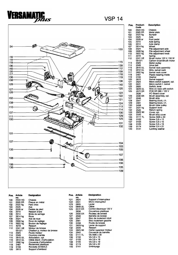



| Product- | <b>Description</b>         |
|----------|----------------------------|
| Code     |                            |
| 2543 HG  | Chassis                    |
| 2005 ER  | Metal plate                |
| 2522 hg  | Bumper                     |
| 2525     | Axle                       |
| 2528 or  | Foot pedal                 |
| 2010     | Axle spring                |
| 2014     | Axle clamp                 |
| 2614 hg  | Wheel                      |
| 2524     | Pile adjustment axle       |
| 2608 hg  | Pile adjustment wheel      |
| 2622 hg  | Pile adjustment knob       |
| 4019     | Soring                     |
| 2241 UE  | Brush motor 120 V, 150 W   |
| 0512/1   | Carbon brush/brush motor   |
| 2025     | Motor pulley               |
| 2049     | Drive belt                 |
| 2610 UL  | Swivel neck assembly       |
| 2612 UL  | Wire, swivel neck          |
| 2602 hg  | Swivel neck cover          |
| 2467     | Plastic bearing inside     |
| 0155     | Washer                     |
| 2613     | Swivel support             |
| 2624     | Micro switch support, cpl. |
| 0531     | Micro-switch f. swivel     |
| 2605     | Switch, lever              |
| 0849 UL  | Wire on neck with switch   |
| 2572 ER  | PCB DR 360 / 120 V         |
| 2636     | PC-Board cover             |
| 2030 ER  | Brush assembly, cpl.       |
| 2046     | Brush strip                |
| 2047     | Bearing block, r.h.        |
| 2091     | Bearing block, I.h.        |
| 2458     | Brush roller pulley        |
| 2531 hg  | Support lever              |
| 2545     | Return spring              |
| 2625 WI  | Cover, cpl.                |
| 2542     | Brush strip cover          |
| 0111 TL  | Screw AM5 x 30             |
| 0102     | Screw 3,9 x 13             |
| 0103     | Screw 3,9 x 16             |
| 0105     | Screw 3,9 x 19             |
| 0174     | Screw 3.9 x 22             |
| 0141     | Locking washer             |

| Pos. | <b>Article</b><br>no. | Designation                  | Pos. | <b>Article</b><br>no. |
|------|-----------------------|------------------------------|------|-----------------------|
| 100  | 2543 HG               | Chassis                      | 121  | 2624                  |
| 101  | 2005 ER               | Plaque en métal              | 122  | 0531                  |
| 102  | 2522 ha               | Pare choc                    | 123  | 2605                  |
| 193  | 2525                  | Axe                          | 124  | 0849 U                |
| 104  | 2528 or               | Pedale de pied               | 125  | 2572 E                |
| 105  | 2010                  | Ressort d'axe                |      | 2636                  |
| 106  | 2014                  | Bride de serrage             | 126  | 2030 E                |
| 107  | 2614 hg               | Roue                         | 127  | 2046                  |
| 108  | 2524                  | Axe de roue                  | 128  | 2047                  |
| 109  | 2608 hg               | Roue de reglage              | 129  | 2091                  |
| 110  | 2622 ha               | Bouton de reglage            | 130  | 2458                  |
| 111  | 4019                  | Ressort                      | 131  | 2629 h                |
| 112  | 2241 UE               | Moteur de brosse             | 132  | 2545                  |
|      | 0512/1                | Charbon p. moteur de brosse  | 133  | 2625 W                |
| 113  | 2025                  | Poulie moteur                | 134  | 2542                  |
| 114  | 2049                  | Courroie crantée             | 135  | 0111 T                |
| 115  | 2610 UL               | Articulation, cpl.           | 136  | 0102                  |
| 116  | 2612 UL               | Câble électr. d'articulation | 137  | 0103                  |
| 117  | 2602 hg               | Couvercle d'articulation     | 138  | 0105                  |
| 118  | 2467                  | Roulement plastique          | 139  | 0174                  |
| 119  | 0155                  | Rondelle 22/30/0,5           | 140  | 0141                  |
| 120  | 2613                  | Support d'embout             |      |                       |

#### **Designation**

| ١           | Support d'interrupteur   |
|-------------|--------------------------|
|             | Micro interrupteur       |
| 5           | Levier                   |
| ) UL        | Câble                    |
| 2 ER        | Control électrique 120 V |
| ŝ           | Couverture plastique     |
| ) ER        | Rouleau de brosse        |
| ŝ           | Barrette de brosse       |
| 7           | Bloc de roulement droit  |
|             | Bloc roulement gauche    |
| 3           | Poulie de brosse         |
| .<br>Ə hg   | Levier de support        |
|             | Ressort                  |
| 5<br>5 WI   | Carter superieur moteur  |
| 2           | Couvercle de barrette    |
| l TL        | Vis AM5 x 30             |
|             | $Vis 3.9 \times 13$      |
| 2<br>3<br>5 | Vis $3.9 \times 16$      |
|             | Vis 3.9 x 19             |
| 4           | Vis 3.9 x 22             |
| 1           | Embrayage                |
|             |                          |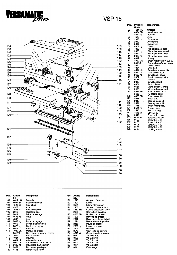

### VSP 18



| Product-        | Description                              |
|-----------------|------------------------------------------|
| Code            |                                          |
| 4611 HG         | Chassis                                  |
| 4004 ER         | Metal plate, set                         |
| 4522 hg         | Bumper                                   |
| 4523            | Axle                                     |
| 2528 or         | Foot pedal                               |
| 2010            | Axle spring                              |
| 2014            | Axle clamp                               |
| 4603 hg         | Wheel                                    |
| 4006            | Pile adjustment axle                     |
| 2608 hg         | Pile adjustment wheel                    |
| 4012            | Pile adjustment lever                    |
| 2622 hg         | Pile adjustment knob                     |
| 4019            | Spring                                   |
| 4022 UE         | Brush motor 120 V, 200 W                 |
| 0512/1          | Carbon brush/brush motor                 |
| 2025            | Motor pulley                             |
| 4024            | Drive belt                               |
| 4614 UL         | Swivel neck assembly                     |
| 4615 UL         | Wire, swivel neck                        |
| 2602 hg         | Swivel neck cover                        |
| 2467            | Plastic bearing inside                   |
|                 | Washer                                   |
| 0155<br>2613    |                                          |
| 4601            | Swivel support<br>Switch, lever          |
| 0531            | Micro-switch f. swivel                   |
| 2453            |                                          |
| 4532 ER         | Micro switch support<br>PCB DR 460 120 V |
| 2636            | PC-Board cover                           |
| 4033 ER         |                                          |
| 4028            | Brush assembly                           |
| 2047            | Brush strip                              |
| 2091            | Bearing block, r.h.                      |
| 2458            | Bearing block, I.h.                      |
|                 | Brush roller pulley                      |
| 2531 hg<br>2545 | Support lever                            |
| 4616 WI         | Return spring                            |
| 2542            | Cover, cpl.<br>Brush strip cover         |
|                 |                                          |
| 0111 TL         | Screw AM5 x 30                           |
| 0102<br>0103    | Screw 3,9 x 13<br>Screw 3,9 x 16         |
|                 |                                          |
| 0105            | Screw 3,9 x 19                           |
| 0174            | Screw 3,9 x 22                           |
| 0141            | l ocking washer                          |

| Pos. | <b>Article</b> | Designation                  | Pos. | <b>Article</b> | <b>Designation</b>       |
|------|----------------|------------------------------|------|----------------|--------------------------|
| 100  | no.<br>4611 HG | Chassis                      |      | no.<br>2613    |                          |
|      |                |                              | 121  |                | Support d'embout         |
| 101  | 4004 ER        | Plaque en metal              | 122  | 4601           | Levier                   |
| 102  | 4522 ha        | Pare choc                    | 123  | 0531           | Micro interrupteur       |
| 103  | 4523           | Axe                          | 124  | 2453           | Support d'interrupteur   |
| 104  | 2528 or        | Pedale de pied               | 125  | 4532 ER        | Control électrique 120 V |
| 105  | 2010           | Ressort d'axe                |      | 2636           | Couverture plastique     |
| 106  | 2014           | Bride de serrage             | 126  | 4033 ER        | Rouleau de brosse        |
| 107  | 4603 ha        | Roue                         | 127  | 4028           | Barrette de brosse       |
| 108  | 4006           | Axe                          | 128  | 2047           | Bloc de roulement droit  |
| 109  | 2608 hg        | Roue de reglage              | 129  | 2091           | Bloc roulement gauche    |
| 110  | 4012           | Levier d'adjustement         | 130  | 2458           | Poulie de brosse         |
| 111  | 2622 hg        | Bouton de reglage            | 131  | 2629 ha        | Levier de support        |
| 112  | 4019           | Ressort                      | 132  | 2545           | Ressort                  |
| 113  | 4022 UE        | Moteur de brosse             | 133  | 2542           | Couvercle de barrette    |
|      | 0512/1         | Charbon p. moteur d. brosse  | 134  | 4616 WI        | Carter superieur moteur  |
| 114  | 2025           | Poulie moteur                | 135  | 0111TL         | Vis AM5 $\times$ 30      |
| 115  | 4024           | Courroie                     | 136  | 0102           | Vis 3.9 x 13             |
| 116  | 4614 UL        | Articulation, cpl.           | -137 | 0103           | Vis $3,9 \times 16$      |
| 117  | 4615 UL        | Câble électr. d'articulation | 138  | 0105           | Vis $3,9 \times 19$      |
| 118  | 2602 ha        | Couvercle d'articulation     | 139  | 0174           | Vis 3,9 x 22             |
| 119  | 2467           | Roulement plastique          | 140  | 0141           | Embrayage                |
| 120  | 0155           | Rondelle 22/30/0.5           |      |                |                          |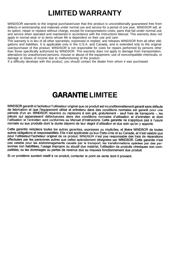# **LIMITED WARRANTY**

WINDSOR warrants to the original purchaser/user that this product is unconditionally quaranteed free from defects in workmanship and materials under normal use and service for a period of one year. WINDSOR will, at its option, repair or replace without charge, except for transportations costs, parts that fail under normal use and service when operated and maintained in accordance with the Instructions Manual. This warranty does not apply to normal wear or to items whose life is dependent on their use and care.

This warranty is in lieu of all other warranties, expressed or implied, and releases WINDSOR from all other obligations and liabilities. It is applicable only in the U.S.A. and Canada, and is extended only to the original user/purchaser of this product. WINDSOR is not responsible for costs for repairs performed by persons other than those specifically authorized by WINDSOR. This warranty does not apply to damage from transportation, alterations by unauthorized persons, misuse or abuse of the equipment, use of noncompatible chemicals, or damage or losses of income due to malfunctioning of the product.

If a difficulty develops with this product, you should contact the dealer from whom it was purchased.

## **GARANTIE LIMITEE**

WINDSOR garantit à l'acheteur/l'utilisateur originel que ce produit est inconditionnellement garanti sans défauts de fabrication et que l'équipement utilisé et entretenu dans des conditions normales est garanti pour une période d'un an. WINDSOR réparera ou replacera à son gré, gratuitement - sauf frais de transports -, les pièces qui apparaissent défectueuses dans des conditions normales d'utilisation et d'entretien et dont l'utilisation et l'entretien sont conformes au Manuel d'instrucions. Cette garantie ne s'applique pas à l'usure normale ou aux produits dont la durée dépend de leur degré d'utilisation et due soin qu'on y apporte.

Cette garantie remplace toutes les autres garanties, expresses ou implicites, et libère WINDSOR de toutes autres obligations et responsabilités. Elle n'est applicable qu'aux Etats-Unis et au Canada, et n'est valable que pour l'utilisateur/l'acheteur originel de ce produit. WINDSOR n'est pas responsable des frais de réparations effectuées par les personnes autres que celles spécialement désignées par WINDSOR. Cette garantie n'est pas valable pour les endommagements causés par le transport, les transformations opérées par des personnes non habilitées, l'usage impropre ou abusif due matériel, l'utilisation de produits chimiques non compatibles, ou les dommages ou pertes de revenus dus au mauvais fonctionnement due produit.

Si un problème survient relatif à ce produit, contacter le point de vente dont il provient.